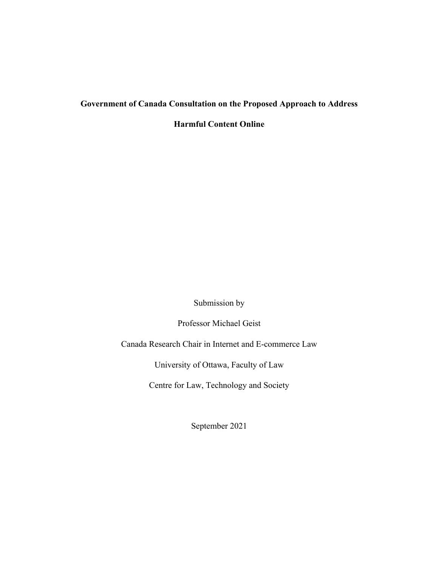# **Government of Canada Consultation on the Proposed Approach to Address**

**Harmful Content Online**

Submission by

Professor Michael Geist

Canada Research Chair in Internet and E-commerce Law

University of Ottawa, Faculty of Law

Centre for Law, Technology and Society

September 2021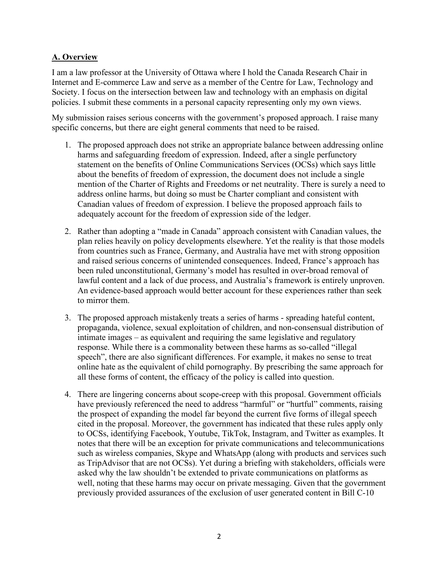## **A. Overview**

I am a law professor at the University of Ottawa where I hold the Canada Research Chair in Internet and E-commerce Law and serve as a member of the Centre for Law, Technology and Society. I focus on the intersection between law and technology with an emphasis on digital policies. I submit these comments in a personal capacity representing only my own views.

My submission raises serious concerns with the government's proposed approach. I raise many specific concerns, but there are eight general comments that need to be raised.

- 1. The proposed approach does not strike an appropriate balance between addressing online harms and safeguarding freedom of expression. Indeed, after a single perfunctory statement on the benefits of Online Communications Services (OCSs) which says little about the benefits of freedom of expression, the document does not include a single mention of the Charter of Rights and Freedoms or net neutrality. There is surely a need to address online harms, but doing so must be Charter compliant and consistent with Canadian values of freedom of expression. I believe the proposed approach fails to adequately account for the freedom of expression side of the ledger.
- 2. Rather than adopting a "made in Canada" approach consistent with Canadian values, the plan relies heavily on policy developments elsewhere. Yet the reality is that those models from countries such as France, Germany, and Australia have met with strong opposition and raised serious concerns of unintended consequences. Indeed, France's approach has been ruled unconstitutional, Germany's model has resulted in over-broad removal of lawful content and a lack of due process, and Australia's framework is entirely unproven. An evidence-based approach would better account for these experiences rather than seek to mirror them.
- 3. The proposed approach mistakenly treats a series of harms spreading hateful content, propaganda, violence, sexual exploitation of children, and non-consensual distribution of intimate images – as equivalent and requiring the same legislative and regulatory response. While there is a commonality between these harms as so-called "illegal speech", there are also significant differences. For example, it makes no sense to treat online hate as the equivalent of child pornography. By prescribing the same approach for all these forms of content, the efficacy of the policy is called into question.
- 4. There are lingering concerns about scope-creep with this proposal. Government officials have previously referenced the need to address "harmful" or "hurtful" comments, raising the prospect of expanding the model far beyond the current five forms of illegal speech cited in the proposal. Moreover, the government has indicated that these rules apply only to OCSs, identifying Facebook, Youtube, TikTok, Instagram, and Twitter as examples. It notes that there will be an exception for private communications and telecommunications such as wireless companies, Skype and WhatsApp (along with products and services such as TripAdvisor that are not OCSs). Yet during a briefing with stakeholders, officials were asked why the law shouldn't be extended to private communications on platforms as well, noting that these harms may occur on private messaging. Given that the government previously provided assurances of the exclusion of user generated content in Bill C-10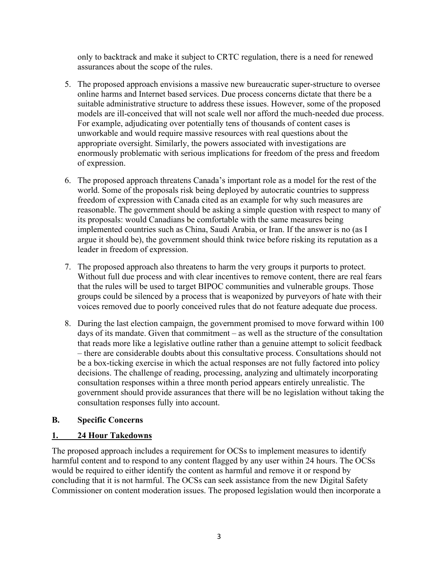only to backtrack and make it subject to CRTC regulation, there is a need for renewed assurances about the scope of the rules.

- 5. The proposed approach envisions a massive new bureaucratic super-structure to oversee online harms and Internet based services. Due process concerns dictate that there be a suitable administrative structure to address these issues. However, some of the proposed models are ill-conceived that will not scale well nor afford the much-needed due process. For example, adjudicating over potentially tens of thousands of content cases is unworkable and would require massive resources with real questions about the appropriate oversight. Similarly, the powers associated with investigations are enormously problematic with serious implications for freedom of the press and freedom of expression.
- 6. The proposed approach threatens Canada's important role as a model for the rest of the world. Some of the proposals risk being deployed by autocratic countries to suppress freedom of expression with Canada cited as an example for why such measures are reasonable. The government should be asking a simple question with respect to many of its proposals: would Canadians be comfortable with the same measures being implemented countries such as China, Saudi Arabia, or Iran. If the answer is no (as I argue it should be), the government should think twice before risking its reputation as a leader in freedom of expression.
- 7. The proposed approach also threatens to harm the very groups it purports to protect. Without full due process and with clear incentives to remove content, there are real fears that the rules will be used to target BIPOC communities and vulnerable groups. Those groups could be silenced by a process that is weaponized by purveyors of hate with their voices removed due to poorly conceived rules that do not feature adequate due process.
- 8. During the last election campaign, the government promised to move forward within 100 days of its mandate. Given that commitment – as well as the structure of the consultation that reads more like a legislative outline rather than a genuine attempt to solicit feedback – there are considerable doubts about this consultative process. Consultations should not be a box-ticking exercise in which the actual responses are not fully factored into policy decisions. The challenge of reading, processing, analyzing and ultimately incorporating consultation responses within a three month period appears entirely unrealistic. The government should provide assurances that there will be no legislation without taking the consultation responses fully into account.

## **B. Specific Concerns**

## **1. 24 Hour Takedowns**

The proposed approach includes a requirement for OCSs to implement measures to identify harmful content and to respond to any content flagged by any user within 24 hours. The OCSs would be required to either identify the content as harmful and remove it or respond by concluding that it is not harmful. The OCSs can seek assistance from the new Digital Safety Commissioner on content moderation issues. The proposed legislation would then incorporate a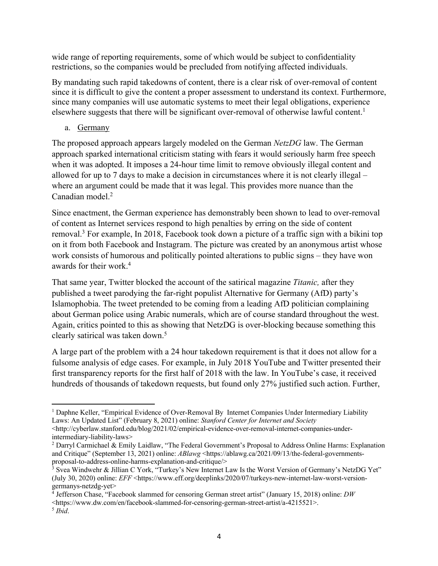wide range of reporting requirements, some of which would be subject to confidentiality restrictions, so the companies would be precluded from notifying affected individuals.

By mandating such rapid takedowns of content, there is a clear risk of over-removal of content since it is difficult to give the content a proper assessment to understand its context. Furthermore, since many companies will use automatic systems to meet their legal obligations, experience elsewhere suggests that there will be significant over-removal of otherwise lawful content.<sup>1</sup>

## a. Germany

The proposed approach appears largely modeled on the German *NetzDG* law. The German approach sparked international criticism stating with fears it would seriously harm free speech when it was adopted. It imposes a 24-hour time limit to remove obviously illegal content and allowed for up to 7 days to make a decision in circumstances where it is not clearly illegal – where an argument could be made that it was legal. This provides more nuance than the Canadian model. 2

Since enactment, the German experience has demonstrably been shown to lead to over-removal of content as Internet services respond to high penalties by erring on the side of content removal.<sup>3</sup> For example, In 2018, Facebook took down a picture of a traffic sign with a bikini top on it from both Facebook and Instagram. The picture was created by an anonymous artist whose work consists of humorous and politically pointed alterations to public signs – they have won awards for their work.4

That same year, Twitter blocked the account of the satirical magazine *Titanic,* after they published a tweet parodying the far-right populist Alternative for Germany (AfD) party's Islamophobia. The tweet pretended to be coming from a leading AfD politician complaining about German police using Arabic numerals, which are of course standard throughout the west. Again, critics pointed to this as showing that NetzDG is over-blocking because something this clearly satirical was taken down.5

A large part of the problem with a 24 hour takedown requirement is that it does not allow for a fulsome analysis of edge cases. For example, in July 2018 YouTube and Twitter presented their first transparency reports for the first half of 2018 with the law. In YouTube's case, it received hundreds of thousands of takedown requests, but found only 27% justified such action. Further,

<sup>&</sup>lt;sup>1</sup> Daphne Keller, "Empirical Evidence of Over-Removal By Internet Companies Under Intermediary Liability Laws: An Updated List" (February 8, 2021) online: *Stanford Center for Internet and Society* 

<sup>&</sup>lt;http://cyberlaw.stanford.edu/blog/2021/02/empirical-evidence-over-removal-internet-companies-underintermediary-liability-laws>

<sup>2</sup> Darryl Carmichael & Emily Laidlaw, "The Federal Government's Proposal to Address Online Harms: Explanation and Critique" (September 13, 2021) online: *ABlawg* <https://ablawg.ca/2021/09/13/the-federal-governmentsproposal-to-address-online-harms-explanation-and-critique/><br>
<sup>3</sup> Svea Windwehr & Jillian C York, "Turkey's New Internet Law Is the Worst Version of Germany's NetzDG Yet"

<sup>(</sup>July 30, 2020) online: *EFF* <https://www.eff.org/deeplinks/2020/07/turkeys-new-internet-law-worst-versiongermanys-netzdg-yet>

<sup>4</sup> Jefferson Chase, "Facebook slammed for censoring German street artist" (January 15, 2018) online: *DW* 

<sup>&</sup>lt;https://www.dw.com/en/facebook-slammed-for-censoring-german-street-artist/a-4215521>.

<sup>5</sup> *Ibid*.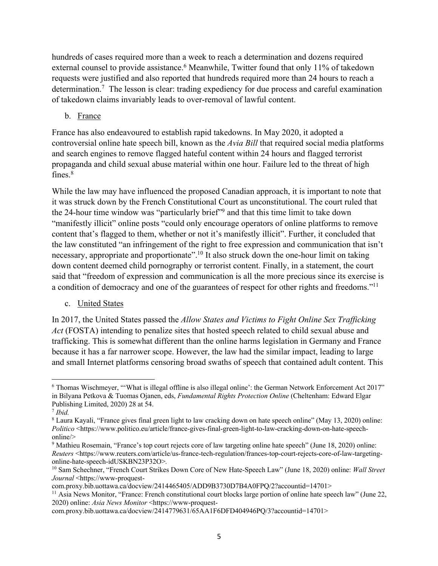hundreds of cases required more than a week to reach a determination and dozens required external counsel to provide assistance.<sup>6</sup> Meanwhile, Twitter found that only 11% of takedown requests were justified and also reported that hundreds required more than 24 hours to reach a determination.7 The lesson is clear: trading expediency for due process and careful examination of takedown claims invariably leads to over-removal of lawful content.

## b. France

France has also endeavoured to establish rapid takedowns. In May 2020, it adopted a controversial online hate speech bill, known as the *Avia Bill* that required social media platforms and search engines to remove flagged hateful content within 24 hours and flagged terrorist propaganda and child sexual abuse material within one hour. Failure led to the threat of high  $fines.<sup>8</sup>$ 

While the law may have influenced the proposed Canadian approach, it is important to note that it was struck down by the French Constitutional Court as unconstitutional. The court ruled that the 24-hour time window was "particularly brief"9 and that this time limit to take down "manifestly illicit" online posts "could only encourage operators of online platforms to remove content that's flagged to them, whether or not it's manifestly illicit". Further, it concluded that the law constituted "an infringement of the right to free expression and communication that isn't necessary, appropriate and proportionate".10 It also struck down the one-hour limit on taking down content deemed child pornography or terrorist content. Finally, in a statement, the court said that "freedom of expression and communication is all the more precious since its exercise is a condition of democracy and one of the guarantees of respect for other rights and freedoms."11

c. United States

In 2017, the United States passed the *Allow States and Victims to Fight Online Sex Trafficking Act* (FOSTA) intending to penalize sites that hosted speech related to child sexual abuse and trafficking. This is somewhat different than the online harms legislation in Germany and France because it has a far narrower scope. However, the law had the similar impact, leading to large and small Internet platforms censoring broad swaths of speech that contained adult content. This

<sup>6</sup> Thomas Wischmeyer, "'What is illegal offline is also illegal online': the German Network Enforcement Act 2017" in Bilyana Petkova & Tuomas Ojanen, eds, *Fundamental Rights Protection Online* (Cheltenham: Edward Elgar Publishing Limited, 2020) 28 at 54.

<sup>7</sup> *Ibid.*

<sup>8</sup> Laura Kayali, "France gives final green light to law cracking down on hate speech online" (May 13, 2020) online: *Politico* <https://www.politico.eu/article/france-gives-final-green-light-to-law-cracking-down-on-hate-speechonline/>

<sup>9</sup> Mathieu Rosemain, "France's top court rejects core of law targeting online hate speech" (June 18, 2020) online: *Reuters* <https://www.reuters.com/article/us-france-tech-regulation/frances-top-court-rejects-core-of-law-targetingonline-hate-speech-idUSKBN23P32O>*.*

<sup>10</sup> Sam Schechner, "French Court Strikes Down Core of New Hate-Speech Law" (June 18, 2020) online: *Wall Street Journal* <https://www-proquest-

com.proxy.bib.uottawa.ca/docview/2414465405/ADD9B3730D7B4A0FPQ/2?accountid=14701>

<sup>&</sup>lt;sup>11</sup> Asia News Monitor, "France: French constitutional court blocks large portion of online hate speech law" (June 22, 2020) online: *Asia News Monitor* <https://www-proquest-

com.proxy.bib.uottawa.ca/docview/2414779631/65AA1F6DFD404946PQ/3?accountid=14701>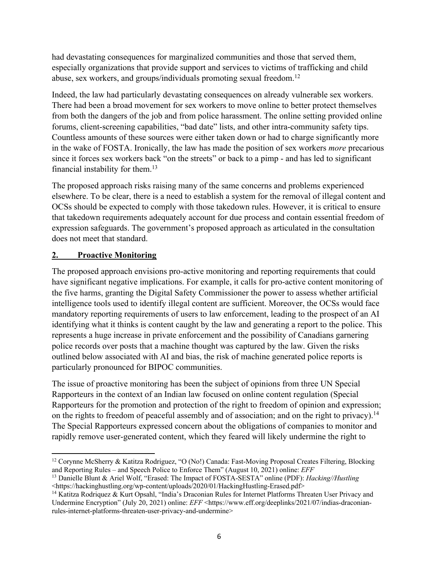had devastating consequences for marginalized communities and those that served them, especially organizations that provide support and services to victims of trafficking and child abuse, sex workers, and groups/individuals promoting sexual freedom.12

Indeed, the law had particularly devastating consequences on already vulnerable sex workers. There had been a broad movement for sex workers to move online to better protect themselves from both the dangers of the job and from police harassment. The online setting provided online forums, client-screening capabilities, "bad date" lists, and other intra-community safety tips. Countless amounts of these sources were either taken down or had to charge significantly more in the wake of FOSTA. Ironically, the law has made the position of sex workers *more* precarious since it forces sex workers back "on the streets" or back to a pimp - and has led to significant financial instability for them.13

The proposed approach risks raising many of the same concerns and problems experienced elsewhere. To be clear, there is a need to establish a system for the removal of illegal content and OCSs should be expected to comply with those takedown rules. However, it is critical to ensure that takedown requirements adequately account for due process and contain essential freedom of expression safeguards. The government's proposed approach as articulated in the consultation does not meet that standard.

## **2. Proactive Monitoring**

The proposed approach envisions pro-active monitoring and reporting requirements that could have significant negative implications. For example, it calls for pro-active content monitoring of the five harms, granting the Digital Safety Commissioner the power to assess whether artificial intelligence tools used to identify illegal content are sufficient. Moreover, the OCSs would face mandatory reporting requirements of users to law enforcement, leading to the prospect of an AI identifying what it thinks is content caught by the law and generating a report to the police. This represents a huge increase in private enforcement and the possibility of Canadians garnering police records over posts that a machine thought was captured by the law. Given the risks outlined below associated with AI and bias, the risk of machine generated police reports is particularly pronounced for BIPOC communities.

The issue of proactive monitoring has been the subject of opinions from three UN Special Rapporteurs in the context of an Indian law focused on online content regulation (Special Rapporteurs for the promotion and protection of the right to freedom of opinion and expression; on the rights to freedom of peaceful assembly and of association; and on the right to privacy).<sup>14</sup> The Special Rapporteurs expressed concern about the obligations of companies to monitor and rapidly remove user-generated content, which they feared will likely undermine the right to

<sup>12</sup> Corynne McSherry & Katitza Rodriguez, "O (No!) Canada: Fast-Moving Proposal Creates Filtering, Blocking and Reporting Rules – and Speech Police to Enforce Them" (August 10, 2021) online: *EFF*

<sup>13</sup> Danielle Blunt & Ariel Wolf, "Erased: The Impact of FOSTA-SESTA" online (PDF): *Hacking//Hustling*  <https://hackinghustling.org/wp-content/uploads/2020/01/HackingHustling-Erased.pdf>

<sup>&</sup>lt;sup>14</sup> Katitza Rodriquez & Kurt Opsahl, "India's Draconian Rules for Internet Platforms Threaten User Privacy and Undermine Encryption" (July 20, 2021) online: *EFF* <https://www.eff.org/deeplinks/2021/07/indias-draconianrules-internet-platforms-threaten-user-privacy-and-undermine>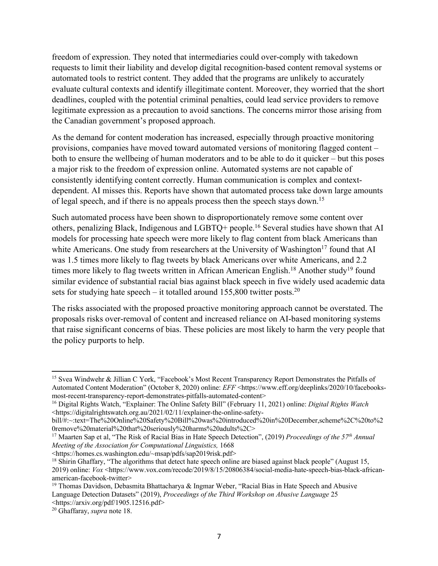freedom of expression. They noted that intermediaries could over-comply with takedown requests to limit their liability and develop digital recognition-based content removal systems or automated tools to restrict content. They added that the programs are unlikely to accurately evaluate cultural contexts and identify illegitimate content. Moreover, they worried that the short deadlines, coupled with the potential criminal penalties, could lead service providers to remove legitimate expression as a precaution to avoid sanctions. The concerns mirror those arising from the Canadian government's proposed approach.

As the demand for content moderation has increased, especially through proactive monitoring provisions, companies have moved toward automated versions of monitoring flagged content – both to ensure the wellbeing of human moderators and to be able to do it quicker – but this poses a major risk to the freedom of expression online. Automated systems are not capable of consistently identifying content correctly. Human communication is complex and contextdependent. AI misses this. Reports have shown that automated process take down large amounts of legal speech, and if there is no appeals process then the speech stays down.15

Such automated process have been shown to disproportionately remove some content over others, penalizing Black, Indigenous and LGBTQ+ people.16 Several studies have shown that AI models for processing hate speech were more likely to flag content from black Americans than white Americans. One study from researchers at the University of Washington<sup>17</sup> found that AI was 1.5 times more likely to flag tweets by black Americans over white Americans, and 2.2 times more likely to flag tweets written in African American English.<sup>18</sup> Another study<sup>19</sup> found similar evidence of substantial racial bias against black speech in five widely used academic data sets for studying hate speech – it totalled around  $155,800$  twitter posts.<sup>20</sup>

The risks associated with the proposed proactive monitoring approach cannot be overstated. The proposals risks over-removal of content and increased reliance on AI-based monitoring systems that raise significant concerns of bias. These policies are most likely to harm the very people that the policy purports to help.

<sup>15</sup> Svea Windwehr & Jillian C York, "Facebook's Most Recent Transparency Report Demonstrates the Pitfalls of Automated Content Moderation" (October 8, 2020) online: *EFF* <https://www.eff.org/deeplinks/2020/10/facebooksmost-recent-transparency-report-demonstrates-pitfalls-automated-content>

<sup>16</sup> Digital Rights Watch, "Explainer: The Online Safety Bill" (February 11, 2021) online: *Digital Rights Watch*  <https://digitalrightswatch.org.au/2021/02/11/explainer-the-online-safety-

bill/#:~:text=The%20Online%20Safety%20Bill%20was%20introduced%20in%20December,scheme%2C%20to%2 0remove%20material%20that%20seriously%20harms%20adults%2C>

<sup>17</sup> Maarten Sap et al, "The Risk of Racial Bias in Hate Speech Detection", (2019) *Proceedings of the 57th Annual Meeting of the Association for Computational Linguistics,* 1668

<sup>&</sup>lt;https://homes.cs.washington.edu/~msap/pdfs/sap2019risk.pdf>

<sup>&</sup>lt;sup>18</sup> Shirin Ghaffary, "The algorithms that detect hate speech online are biased against black people" (August 15, 2019) online: *Vox* <https://www.vox.com/recode/2019/8/15/20806384/social-media-hate-speech-bias-black-africanamerican-facebook-twitter>

<sup>19</sup> Thomas Davidson, Debasmita Bhattacharya & Ingmar Weber, "Racial Bias in Hate Speech and Abusive Language Detection Datasets" (2019), *Proceedings of the Third Workshop on Abusive Language* 25 <https://arxiv.org/pdf/1905.12516.pdf>

<sup>20</sup> Ghaffaray, *supra* note 18.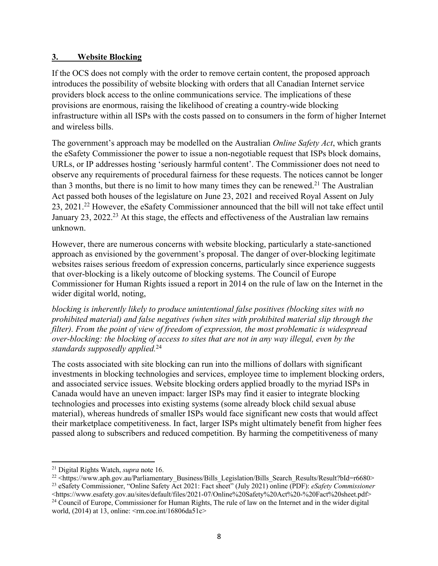#### **3. Website Blocking**

If the OCS does not comply with the order to remove certain content, the proposed approach introduces the possibility of website blocking with orders that all Canadian Internet service providers block access to the online communications service. The implications of these provisions are enormous, raising the likelihood of creating a country-wide blocking infrastructure within all ISPs with the costs passed on to consumers in the form of higher Internet and wireless bills.

The government's approach may be modelled on the Australian *Online Safety Act*, which grants the eSafety Commissioner the power to issue a non-negotiable request that ISPs block domains, URLs, or IP addresses hosting 'seriously harmful content'. The Commissioner does not need to observe any requirements of procedural fairness for these requests. The notices cannot be longer than 3 months, but there is no limit to how many times they can be renewed.<sup>21</sup> The Australian Act passed both houses of the legislature on June 23, 2021 and received Royal Assent on July 23, 2021.22 However, the eSafety Commissioner announced that the bill will not take effect until January 23, 2022<sup>23</sup> At this stage, the effects and effectiveness of the Australian law remains unknown.

However, there are numerous concerns with website blocking, particularly a state-sanctioned approach as envisioned by the government's proposal. The danger of over-blocking legitimate websites raises serious freedom of expression concerns, particularly since experience suggests that over-blocking is a likely outcome of blocking systems. The Council of Europe Commissioner for Human Rights issued a report in 2014 on the rule of law on the Internet in the wider digital world, noting,

*blocking is inherently likely to produce unintentional false positives (blocking sites with no prohibited material) and false negatives (when sites with prohibited material slip through the filter). From the point of view of freedom of expression, the most problematic is widespread over-blocking: the blocking of access to sites that are not in any way illegal, even by the standards supposedly applied.*<sup>24</sup>

The costs associated with site blocking can run into the millions of dollars with significant investments in blocking technologies and services, employee time to implement blocking orders, and associated service issues. Website blocking orders applied broadly to the myriad ISPs in Canada would have an uneven impact: larger ISPs may find it easier to integrate blocking technologies and processes into existing systems (some already block child sexual abuse material), whereas hundreds of smaller ISPs would face significant new costs that would affect their marketplace competitiveness. In fact, larger ISPs might ultimately benefit from higher fees passed along to subscribers and reduced competition. By harming the competitiveness of many

<sup>21</sup> Digital Rights Watch, *supra* note 16.

<sup>&</sup>lt;sup>22</sup> <https://www.aph.gov.au/Parliamentary\_Business/Bills\_Legislation/Bills\_Search\_Results/Result?bId=r6680>

<sup>23</sup> eSafety Commissioner, "Online Safety Act 2021: Fact sheet" (July 2021) online (PDF): *eSafety Commissioner*  <https://www.esafety.gov.au/sites/default/files/2021-07/Online%20Safety%20Act%20-%20Fact%20sheet.pdf> <sup>24</sup> Council of Europe, Commissioner for Human Rights, The rule of law on the Internet and in the wider digital world, (2014) at 13, online: <rm.coe.int/16806da51c>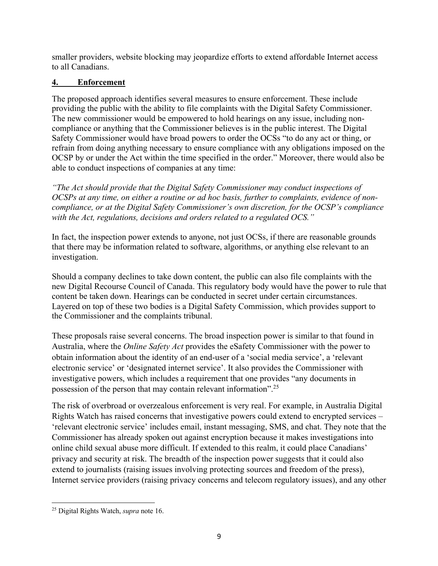smaller providers, website blocking may jeopardize efforts to extend affordable Internet access to all Canadians.

# **4. Enforcement**

The proposed approach identifies several measures to ensure enforcement. These include providing the public with the ability to file complaints with the Digital Safety Commissioner. The new commissioner would be empowered to hold hearings on any issue, including noncompliance or anything that the Commissioner believes is in the public interest. The Digital Safety Commissioner would have broad powers to order the OCSs "to do any act or thing, or refrain from doing anything necessary to ensure compliance with any obligations imposed on the OCSP by or under the Act within the time specified in the order." Moreover, there would also be able to conduct inspections of companies at any time:

*"The Act should provide that the Digital Safety Commissioner may conduct inspections of OCSPs at any time, on either a routine or ad hoc basis, further to complaints, evidence of noncompliance, or at the Digital Safety Commissioner's own discretion, for the OCSP's compliance with the Act, regulations, decisions and orders related to a regulated OCS."*

In fact, the inspection power extends to anyone, not just OCSs, if there are reasonable grounds that there may be information related to software, algorithms, or anything else relevant to an investigation.

Should a company declines to take down content, the public can also file complaints with the new Digital Recourse Council of Canada. This regulatory body would have the power to rule that content be taken down. Hearings can be conducted in secret under certain circumstances. Layered on top of these two bodies is a Digital Safety Commission, which provides support to the Commissioner and the complaints tribunal.

These proposals raise several concerns. The broad inspection power is similar to that found in Australia, where the *Online Safety Act* provides the eSafety Commissioner with the power to obtain information about the identity of an end-user of a 'social media service', a 'relevant electronic service' or 'designated internet service'. It also provides the Commissioner with investigative powers, which includes a requirement that one provides "any documents in possession of the person that may contain relevant information".25

The risk of overbroad or overzealous enforcement is very real. For example, in Australia Digital Rights Watch has raised concerns that investigative powers could extend to encrypted services – 'relevant electronic service' includes email, instant messaging, SMS, and chat. They note that the Commissioner has already spoken out against encryption because it makes investigations into online child sexual abuse more difficult. If extended to this realm, it could place Canadians' privacy and security at risk. The breadth of the inspection power suggests that it could also extend to journalists (raising issues involving protecting sources and freedom of the press), Internet service providers (raising privacy concerns and telecom regulatory issues), and any other

<sup>25</sup> Digital Rights Watch, *supra* note 16.